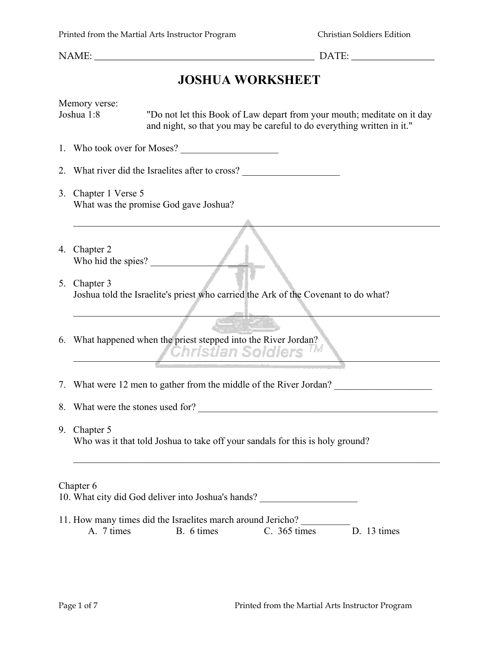# **JOSHUA WORKSHEET**

| Memory verse:<br>Joshua 1:8 |                                                                                                     | "Do not let this Book of Law depart from your mouth; meditate on it day<br>and night, so that you may be careful to do everything written in it."                |  |  |  |
|-----------------------------|-----------------------------------------------------------------------------------------------------|------------------------------------------------------------------------------------------------------------------------------------------------------------------|--|--|--|
|                             | 1. Who took over for Moses?                                                                         |                                                                                                                                                                  |  |  |  |
|                             | 2. What river did the Israelites after to cross?                                                    |                                                                                                                                                                  |  |  |  |
|                             | 3. Chapter 1 Verse 5<br>What was the promise God gave Joshua?                                       |                                                                                                                                                                  |  |  |  |
|                             | 4. Chapter 2<br>Who hid the spies?                                                                  |                                                                                                                                                                  |  |  |  |
|                             | 5. Chapter 3<br>Joshua told the Israelite's priest who carried the Ark of the Covenant to do what?  |                                                                                                                                                                  |  |  |  |
|                             | 6. What happened when the priest stepped into the River Jordan?<br><i><b>Christian Soldiers</b></i> |                                                                                                                                                                  |  |  |  |
|                             | 7. What were 12 men to gather from the middle of the River Jordan?                                  |                                                                                                                                                                  |  |  |  |
|                             | 8. What were the stones used for?                                                                   |                                                                                                                                                                  |  |  |  |
|                             | 9. Chapter 5<br>Who was it that told Joshua to take off your sandals for this is holy ground?       |                                                                                                                                                                  |  |  |  |
|                             | Chapter 6<br>A. 7 times                                                                             | 10. What city did God deliver into Joshua's hands?<br>11. How many times did the Israelites march around Jericho?<br>B. 6 times<br>$C.$ 365 times<br>D. 13 times |  |  |  |
|                             |                                                                                                     |                                                                                                                                                                  |  |  |  |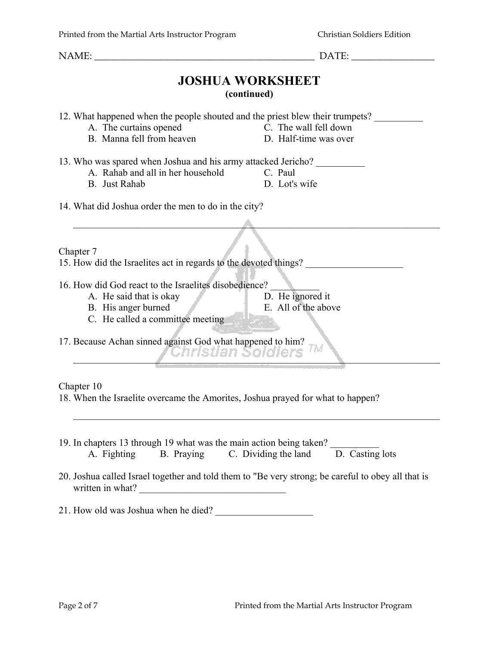**JOSHUA WORKSHEET (continued)**

12. What happened when the people shouted and the priest blew their trumpets?

- A. The curtains opened C. The wall fell down
	-
- B. Manna fell from heaven D. Half-time was over
- 13. Who was spared when Joshua and his army attacked Jericho? \_\_\_\_\_\_\_\_\_\_
	- A. Rahab and all in her household C. Paul
	- B. Just Rahab D. Lot's wife

14. What did Joshua order the men to do in the city?

Chapter 7

15. How did the Israelites act in regards to the devoted things?

- 16. How did God react to the Israelites disobedience?
	- A. He said that is okay D. He ignored it
		-
	- B. His anger burned E. All of the above

 $\mathcal{L}_\mathcal{L} = \{ \mathcal{L}_\mathcal{L} = \{ \mathcal{L}_\mathcal{L} = \{ \mathcal{L}_\mathcal{L} = \{ \mathcal{L}_\mathcal{L} = \{ \mathcal{L}_\mathcal{L} = \{ \mathcal{L}_\mathcal{L} = \{ \mathcal{L}_\mathcal{L} = \{ \mathcal{L}_\mathcal{L} = \{ \mathcal{L}_\mathcal{L} = \{ \mathcal{L}_\mathcal{L} = \{ \mathcal{L}_\mathcal{L} = \{ \mathcal{L}_\mathcal{L} = \{ \mathcal{L}_\mathcal{L} = \{ \mathcal{L}_\mathcal{$ 

 $\blacktriangle$  . The contract of the contract of  $\blacktriangle$  . The contract of the contract of the contract of the contract of the contract of the contract of the contract of the contract of the contract of the contract of the contract

C. He called a committee meeting

17. Because Achan sinned against God what happened to him? **\_\_Christian Soldiers** TM

#### Chapter 10

18. When the Israelite overcame the Amorites, Joshua prayed for what to happen?

- 19. In chapters 13 through 19 what was the main action being taken? \_\_\_\_\_\_\_\_\_\_ A. Fighting B. Praying C. Dividing the land D. Casting lots
- 20. Joshua called Israel together and told them to "Be very strong; be careful to obey all that is written in what?
- 21. How old was Joshua when he died?

NAME:  $\Box$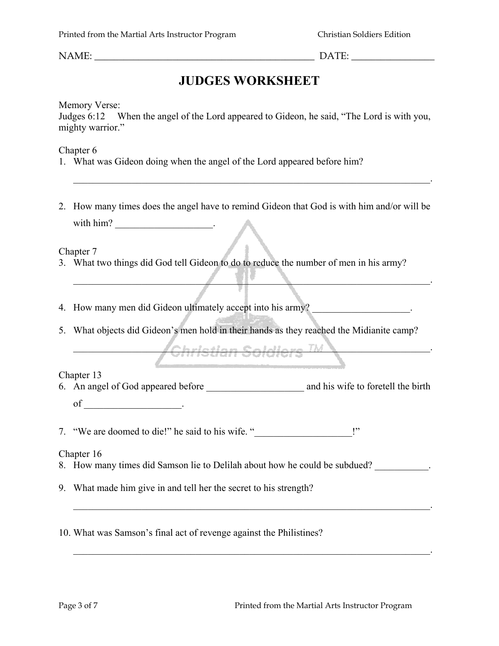NAME:  $\Box$ 

### **JUDGES WORKSHEET**

Memory Verse:

Judges 6:12 When the angel of the Lord appeared to Gideon, he said, "The Lord is with you, mighty warrior."

Chapter 6

- 1. What was Gideon doing when the angel of the Lord appeared before him?
- 2. How many times does the angel have to remind Gideon that God is with him and/or will be with him? \_\_\_\_\_\_\_\_\_\_\_\_\_\_\_\_\_\_\_\_\_\_\_\_\_.

 $\mathcal{L}_\mathcal{L} = \mathcal{L}_\mathcal{L} = \mathcal{L}_\mathcal{L} = \mathcal{L}_\mathcal{L} = \mathcal{L}_\mathcal{L} = \mathcal{L}_\mathcal{L} = \mathcal{L}_\mathcal{L} = \mathcal{L}_\mathcal{L} = \mathcal{L}_\mathcal{L} = \mathcal{L}_\mathcal{L} = \mathcal{L}_\mathcal{L} = \mathcal{L}_\mathcal{L} = \mathcal{L}_\mathcal{L} = \mathcal{L}_\mathcal{L} = \mathcal{L}_\mathcal{L} = \mathcal{L}_\mathcal{L} = \mathcal{L}_\mathcal{L}$ 

 $\mathcal{L} = \mathcal{L} \mathcal{L} = \mathcal{L} \mathcal{L} = \mathcal{L} \mathcal{L} = \mathcal{L} \mathcal{L} = \mathcal{L} \mathcal{L} = \mathcal{L} \mathcal{L} = \mathcal{L} \mathcal{L} = \mathcal{L} \mathcal{L} = \mathcal{L} \mathcal{L} = \mathcal{L} \mathcal{L} = \mathcal{L} \mathcal{L} = \mathcal{L} \mathcal{L} = \mathcal{L} \mathcal{L} = \mathcal{L} \mathcal{L} = \mathcal{L} \mathcal{L} = \mathcal{L} \mathcal{L} = \mathcal{L$ 

Chapter 7

- 3. What two things did God tell Gideon to do to reduce the number of men in his army?
- 4. How many men did Gideon ultimately accept into his army? \_\_\_\_\_\_\_\_\_\_\_\_\_\_\_\_\_\_\_.
- 5. What objects did Gideon's men hold in their hands as they reached the Midianite camp?

 $\dot{}$ Ghristian Soldiers  $^{TM}$ 

Chapter 13

6. An angel of God appeared before \_\_\_\_\_\_\_\_\_\_\_\_\_\_\_\_\_\_\_\_ and his wife to foretell the birth  $of$  \_\_\_\_\_\_\_\_\_\_\_\_\_\_\_\_\_\_\_\_\_\_\_\_\_\_.

7. "We are doomed to die!" he said to his wife. "\_\_\_\_\_\_\_\_\_\_\_\_\_\_\_\_\_\_\_\_\_!"

Chapter 16

8. How many times did Samson lie to Delilah about how he could be subdued?

 $\mathcal{L}_\mathcal{L} = \mathcal{L}_\mathcal{L} = \mathcal{L}_\mathcal{L} = \mathcal{L}_\mathcal{L} = \mathcal{L}_\mathcal{L} = \mathcal{L}_\mathcal{L} = \mathcal{L}_\mathcal{L} = \mathcal{L}_\mathcal{L} = \mathcal{L}_\mathcal{L} = \mathcal{L}_\mathcal{L} = \mathcal{L}_\mathcal{L} = \mathcal{L}_\mathcal{L} = \mathcal{L}_\mathcal{L} = \mathcal{L}_\mathcal{L} = \mathcal{L}_\mathcal{L} = \mathcal{L}_\mathcal{L} = \mathcal{L}_\mathcal{L}$ 

 $\mathcal{L}_\mathcal{L} = \mathcal{L}_\mathcal{L} = \mathcal{L}_\mathcal{L} = \mathcal{L}_\mathcal{L} = \mathcal{L}_\mathcal{L} = \mathcal{L}_\mathcal{L} = \mathcal{L}_\mathcal{L} = \mathcal{L}_\mathcal{L} = \mathcal{L}_\mathcal{L} = \mathcal{L}_\mathcal{L} = \mathcal{L}_\mathcal{L} = \mathcal{L}_\mathcal{L} = \mathcal{L}_\mathcal{L} = \mathcal{L}_\mathcal{L} = \mathcal{L}_\mathcal{L} = \mathcal{L}_\mathcal{L} = \mathcal{L}_\mathcal{L}$ 

9. What made him give in and tell her the secret to his strength?

10. What was Samson's final act of revenge against the Philistines?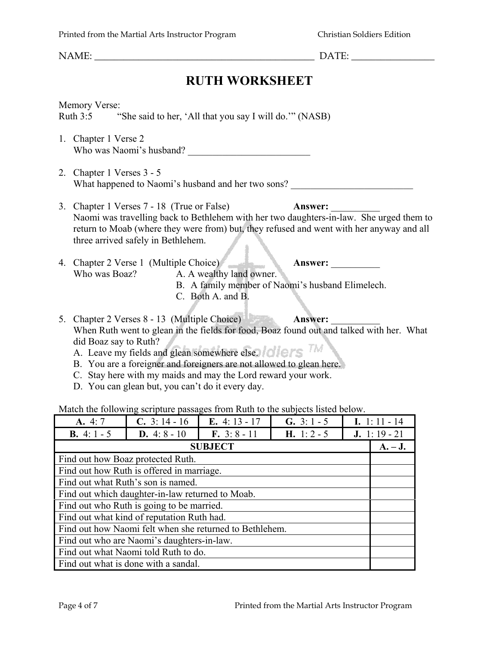NAME:  $\Box$ 

## **RUTH WORKSHEET**

Memory Verse: Ruth 3:5 "She said to her, 'All that you say I will do.'" (NASB)

- 1. Chapter 1 Verse 2 Who was Naomi's husband? \_\_\_\_\_\_\_\_\_\_\_\_\_\_\_\_\_\_\_\_\_\_\_\_\_
- 2. Chapter 1 Verses 3 5 What happened to Naomi's husband and her two sons?
- 3. Chapter 1 Verses 7 18 (True or False) **Answer:** \_\_\_\_\_\_\_\_\_\_ Naomi was travelling back to Bethlehem with her two daughters-in-law. She urged them to return to Moab (where they were from) but, they refused and went with her anyway and all three arrived safely in Bethlehem.
- 4. Chapter 2 Verse 1 (Multiple Choice) **Answer:** \_\_\_\_\_\_\_\_\_\_ Who was Boaz? A. A wealthy land owner.
	- B. A family member of Naomi's husband Elimelech.
	- C. Both A. and B.
- 5. Chapter 2 Verses 8 13 (Multiple Choice) **Answer:** \_\_\_\_\_\_\_\_\_\_ When Ruth went to glean in the fields for food, Boaz found out and talked with her. What did Boaz say to Ruth?
	- did Boaz say to Ruth?<br>A. Leave my fields and glean somewhere else.
	- B. You are a foreigner and foreigners are not allowed to glean here.
	- C. Stay here with my maids and may the Lord reward your work.
	- D. You can glean but, you can't do it every day.

Match the following scripture passages from Ruth to the subjects listed below.

| A. 4:7                                                  | <b>C.</b> 3:14 - 16   | E. $4:13 - 17$ | <b>G.</b> 3: $1 - 5$ | I. 1:11 - 14        |  |
|---------------------------------------------------------|-----------------------|----------------|----------------------|---------------------|--|
| <b>B.</b> 4: $1 - 5$                                    | <b>D.</b> 4: $8 - 10$ | $F. 3: 8 - 11$ | <b>H.</b> 1: 2 - 5   | <b>J.</b> 1:19 - 21 |  |
| <b>SUBJECT</b>                                          |                       |                |                      |                     |  |
| Find out how Boaz protected Ruth.                       |                       |                |                      |                     |  |
| Find out how Ruth is offered in marriage.               |                       |                |                      |                     |  |
| Find out what Ruth's son is named.                      |                       |                |                      |                     |  |
| Find out which daughter-in-law returned to Moab.        |                       |                |                      |                     |  |
| Find out who Ruth is going to be married.               |                       |                |                      |                     |  |
| Find out what kind of reputation Ruth had.              |                       |                |                      |                     |  |
| Find out how Naomi felt when she returned to Bethlehem. |                       |                |                      |                     |  |
| Find out who are Naomi's daughters-in-law.              |                       |                |                      |                     |  |
| Find out what Naomi told Ruth to do.                    |                       |                |                      |                     |  |
| Find out what is done with a sandal.                    |                       |                |                      |                     |  |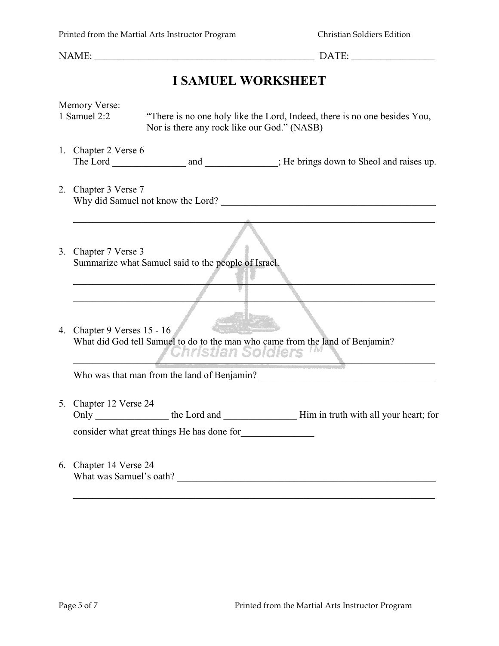## **I SAMUEL WORKSHEET**

|  | Memory Verse:                                     |                                                     |                                                                               |
|--|---------------------------------------------------|-----------------------------------------------------|-------------------------------------------------------------------------------|
|  | 1 Samuel 2:2                                      | Nor is there any rock like our God." (NASB)         | "There is no one holy like the Lord, Indeed, there is no one besides You,     |
|  | 1. Chapter 2 Verse 6                              |                                                     |                                                                               |
|  |                                                   |                                                     |                                                                               |
|  | 2. Chapter 3 Verse 7                              |                                                     |                                                                               |
|  |                                                   |                                                     | Why did Samuel not know the Lord?                                             |
|  |                                                   |                                                     |                                                                               |
|  | 3. Chapter 7 Verse 3                              | Summarize what Samuel said to the people of Israel. |                                                                               |
|  |                                                   |                                                     |                                                                               |
|  |                                                   |                                                     |                                                                               |
|  | 4. Chapter 9 Verses 15 - 16                       |                                                     |                                                                               |
|  |                                                   |                                                     | What did God tell Samuel to do to the man who came from the land of Benjamin? |
|  |                                                   | <i><b>Ghristian Soldiers</b></i>                    |                                                                               |
|  |                                                   |                                                     |                                                                               |
|  | 5. Chapter 12 Verse 24                            |                                                     |                                                                               |
|  |                                                   |                                                     |                                                                               |
|  |                                                   | consider what great things He has done for          |                                                                               |
|  | 6. Chapter 14 Verse 24<br>What was Samuel's oath? |                                                     |                                                                               |

 $\mathcal{L}_\text{max} = \frac{1}{2} \sum_{i=1}^n \mathcal{L}_\text{max}(\mathbf{z}_i - \mathbf{z}_i)$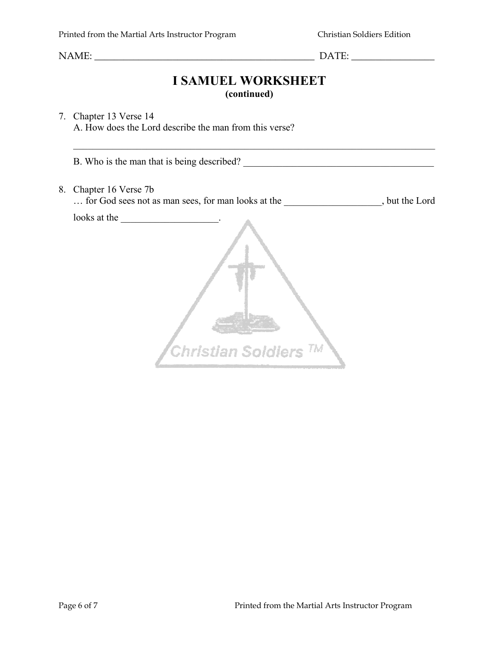#### **I SAMUEL WORKSHEET (continued)**

#### 7. Chapter 13 Verse 14 A. How does the Lord describe the man from this verse?

B. Who is the man that is being described?

 $\mathcal{L}_\text{max}$  , and the contribution of the contribution of the contribution of the contribution of the contribution of the contribution of the contribution of the contribution of the contribution of the contribution of t

8. Chapter 16 Verse 7b

… for God sees not as man sees, for man looks at the  $\qquad \qquad$ , but the Lord